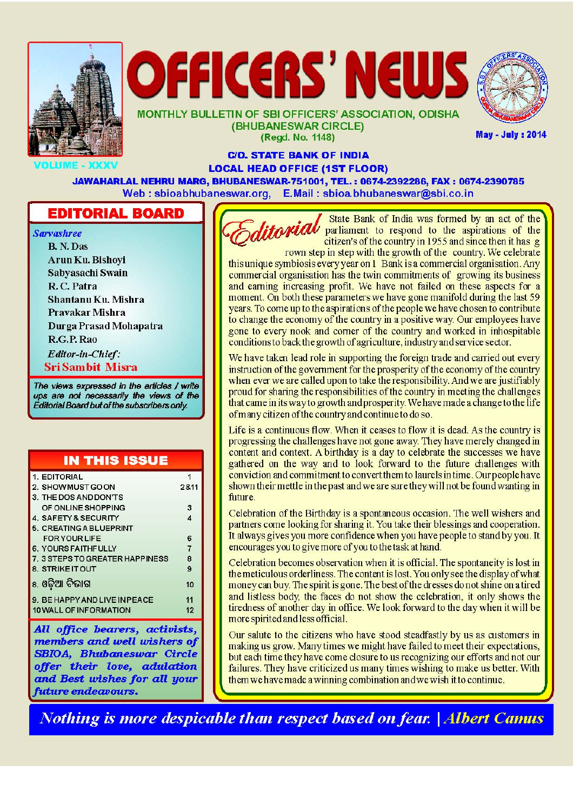





**MONTHLY BULLETIN OF SBI OFFICERS' ASSOCIATION, ODISHA** (BHUBANESWAR CIRCLE) (Regd. No. 1148)

**May - July : 2014** 

#### **C/O. STATE BANK OF INDIA LOCAL HEAD OFFICE (1ST FLOOR)**

JAWAHARLAL NEHRU MARG, BHUBANESWAR-751001, TEL.: 0674-2392286, FAX: 0674-2390785 Web: sbioabhubaneswar.org,  $E.Mail:$  sbioa.bhubaneswar@sbi.co.in

# **EDITORIAL BOARD**

**Sarvashree** 

B. N. Das Arun Ku. Bishoyi Sabyasachi Swain R.C. Patra Shantanu Ku. Mishra Pravakar Mishra Durga Prasad Mohapatra R.G.P. Rao Editor-in-Chief: **Sri Sambit Misra** 

The views expressed in the articles / write ups are not necessarily the views of the Editorial Board but of the subscribers only.

# **IN THIS ISSUE**

| 1. EDITORIAL                    |      |
|---------------------------------|------|
| 2. SHOW MUST GOON               | 2&11 |
| 3. THE DOS AND DON'TS           |      |
| OF ONLINE SHOPPING              | з    |
| 4. SAFETY & SECURITY            |      |
| <b>5. CREATING A BLUEPRINT</b>  |      |
| <b>FOR YOUR LIFE</b>            | 6    |
| 6. YOURS FAITHFULLY             | 7    |
| 7. 3 STEPS TO GREATER HAPPINESS | 8    |
| 8. STRIKE IT OUT                | 9    |
| ୫. ଓଡ଼ିଆ ବିଭାଗ                  | 10   |
| 9. BE HAPPY AND LIVE IN PEACE   | 11   |
| <b>10 WALL OF INFORMATION</b>   | 12   |

All office bearers, activists, members and well wishers of SBIOA, Bhubaneswar Circle offer their love, adulation and Best wishes for all your future endeavours.



State Bank of India was formed by an act of the ditorial parliament to respond to the aspirations of the citizen's of the country in 1955 and since then it has g rown step in step with the growth of the country. We celebrate

this unique symbiosis every year on 1 Bank is a commercial organisation. Any commercial organisation has the twin commitments of growing its business and earning increasing profit. We have not failed on these aspects for a moment. On both these parameters we have gone manifold during the last 59 years. To come up to the aspirations of the people we have chosen to contribute to change the economy of the country in a positive way. Our employees have gone to every nook and corner of the country and worked in inhospitable conditions to back the growth of agriculture, industry and service sector.

We have taken lead role in supporting the foreign trade and carried out every instruction of the government for the prosperity of the economy of the country when ever we are called upon to take the responsibility. And we are justifiably proud for sharing the responsibilities of the country in meeting the challenges that came in its way to growth and prosperity. We have made a change to the life of many citizen of the country and continue to do so.

Life is a continuous flow. When it ceases to flow it is dead. As the country is progressing the challenges have not gone away. They have merely changed in content and context. A birthday is a day to celebrate the successes we have gathered on the way and to look forward to the future challenges with conviction and commitment to convert them to laurels in time. Our people have shown their mettle in the past and we are sure they will not be found wanting in future.

Celebration of the Birthday is a spontaneous occasion. The well wishers and partners come looking for sharing it. You take their blessings and cooperation. It always gives you more confidence when you have people to stand by you. It encourages you to give more of you to the task at hand.

Celebration becomes observation when it is official. The spontaneity is lost in the meticulous orderliness. The content is lost. You only see the display of what money can buy. The spirit is gone. The best of the dresses do not shine on a tired and listless body, the faces do not show the celebration, it only shows the tiredness of another day in office. We look forward to the day when it will be more spirited and less official.

Our salute to the citizens who have stood steadfastly by us as customers in making us grow. Many times we might have failed to meet their expectations, but each time they have come closure to us recognizing our efforts and not our failures. They have criticized us many times wishing to make us better. With them we have made a winning combination and we wish it to continue.

**Nothing is more despicable than respect based on fear. | Albert Camus**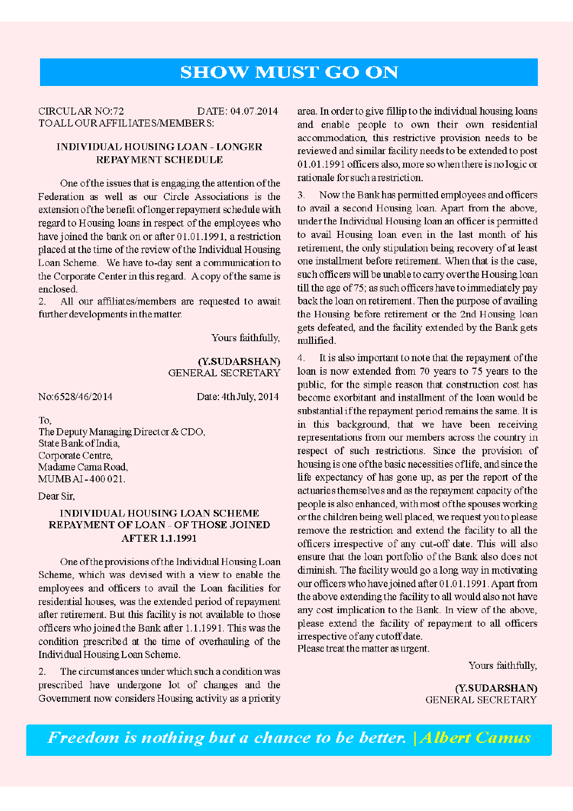# **SHOW MUST GO ON**

**CIRCULAR NO:72** DATE: 04.07.2014 TOALL OUR AFFILIATES/MEMBERS:

#### **INDIVIDUAL HOUSING LOAN - LONGER REPAYMENT SCHEDULE**

One of the issues that is engaging the attention of the Federation as well as our Circle Associations is the extension of the benefit of longer repayment schedule with regard to Housing loans in respect of the employees who have joined the bank on or after 01.01.1991, a restriction placed at the time of the review of the Individual Housing Loan Scheme. We have to-day sent a communication to the Corporate Center in this regard. A copy of the same is enclosed.

All our affiliates/members are requested to await  $\overline{2}$ . further developments in the matter.

Yours faithfully,

(Y.SUDARSHAN) GENERAL SECRETARY

No:6528/46/2014

Date: 4th July, 2014

To. The Deputy Managing Director & CDO, State Bank of India, Corporate Centre, Madame Cama Road, MUMBAI-400021.

Dear Sir,

#### **INDIVIDUAL HOUSING LOAN SCHEME REPAYMENT OF LOAN - OF THOSE JOINED AFTER 1.1.1991**

One of the provisions of the Individual Housing Loan Scheme, which was devised with a view to enable the employees and officers to avail the Loan facilities for residential houses, was the extended period of repayment after retirement. But this facility is not available to those officers who joined the Bank after 1.1.1991. This was the condition prescribed at the time of overhauling of the Individual Housing Loan Scheme.

 $\overline{2}$ The circumstances under which such a condition was prescribed have undergone lot of changes and the Government now considers Housing activity as a priority area. In order to give fillip to the individual housing loans and enable people to own their own residential accommodation, this restrictive provision needs to be reviewed and similar facility needs to be extended to post 01.01.1991 officers also, more so when there is no logic or rationale for such a restriction.

Now the Bank has permitted employees and officers 3. to avail a second Housing loan. Apart from the above. under the Individual Housing loan an officer is permitted to avail Housing loan even in the last month of his retirement, the only stipulation being recovery of at least one installment before retirement. When that is the case. such officers will be unable to carry over the Housing loan till the age of 75; as such officers have to immediately pay back the loan on retirement. Then the purpose of availing the Housing before retirement or the 2nd Housing loan gets defeated, and the facility extended by the Bank gets millified.

 $4.$ It is also important to note that the repayment of the loan is now extended from 70 years to 75 years to the public, for the simple reason that construction cost has become exorbitant and installment of the loan would be substantial if the repayment period remains the same. It is in this background, that we have been receiving representations from our members across the country in respect of such restrictions. Since the provision of housing is one of the basic necessities of life, and since the life expectancy of has gone up, as per the report of the actuaries themselves and as the repayment capacity of the people is also enhanced, with most of the spouses working or the children being well placed, we request you to please remove the restriction and extend the facility to all the officers irrespective of any cut-off date. This will also ensure that the loan portfolio of the Bank also does not diminish. The facility would go a long way in motivating our officers who have joined after 01.01.1991. Apart from the above extending the facility to all would also not have any cost implication to the Bank. In view of the above, please extend the facility of repayment to all officers irrespective of any cutoff date.

Please treat the matter as urgent.

Yours faithfully,

(Y.SUDARSHAN) **GENERAL SECRETARY** 

Freedom is nothing but a chance to be better. | Albert Camus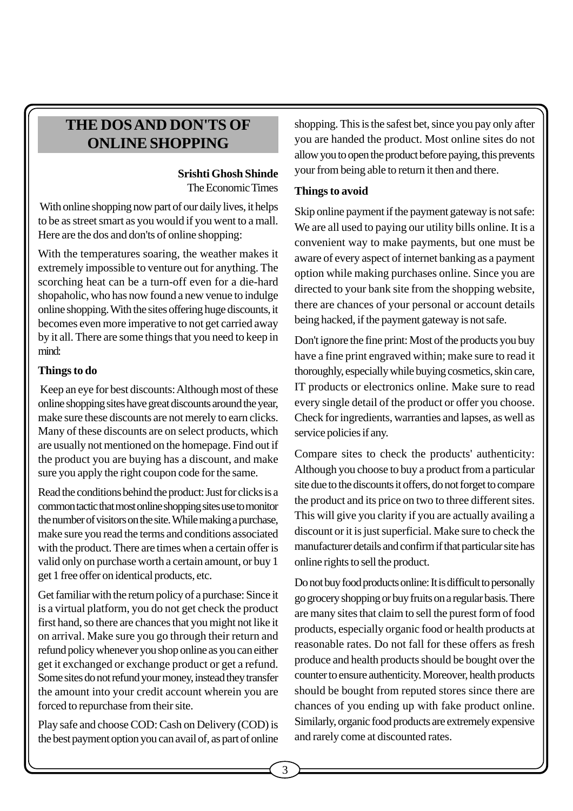# **THE DOS AND DON'TS OF ONLINE SHOPPING**

## **Srishti Ghosh Shinde** The Economic Times

 With online shopping now part of our daily lives, it helps to be as street smart as you would if you went to a mall. Here are the dos and don'ts of online shopping:

With the temperatures soaring, the weather makes it extremely impossible to venture out for anything. The scorching heat can be a turn-off even for a die-hard shopaholic, who has now found a new venue to indulge online shopping. With the sites offering huge discounts, it becomes even more imperative to not get carried away by it all. There are some things that you need to keep in mind:

## **Things to do**

 Keep an eye for best discounts: Although most of these online shopping sites have great discounts around the year, make sure these discounts are not merely to earn clicks. Many of these discounts are on select products, which are usually not mentioned on the homepage. Find out if the product you are buying has a discount, and make sure you apply the right coupon code for the same.

Read the conditions behind the product: Just for clicks is a common tactic that most online shopping sites use to monitor the number of visitors on the site. While making a purchase, make sure you read the terms and conditions associated with the product. There are times when a certain offer is valid only on purchase worth a certain amount, or buy 1 get 1 free offer on identical products, etc.

Get familiar with the return policy of a purchase: Since it is a virtual platform, you do not get check the product first hand, so there are chances that you might not like it on arrival. Make sure you go through their return and refund policy whenever you shop online as you can either get it exchanged or exchange product or get a refund. Some sites do not refund your money, instead they transfer the amount into your credit account wherein you are forced to repurchase from their site.

Play safe and choose COD: Cash on Delivery (COD) is the best payment option you can avail of, as part of online shopping. This is the safest bet, since you pay only after you are handed the product. Most online sites do not allow you to open the product before paying, this prevents your from being able to return it then and there.

# **Things to avoid**

Skip online payment if the payment gateway is not safe: We are all used to paying our utility bills online. It is a convenient way to make payments, but one must be aware of every aspect of internet banking as a payment option while making purchases online. Since you are directed to your bank site from the shopping website, there are chances of your personal or account details being hacked, if the payment gateway is not safe.

Don't ignore the fine print: Most of the products you buy have a fine print engraved within; make sure to read it thoroughly, especially while buying cosmetics, skin care, IT products or electronics online. Make sure to read every single detail of the product or offer you choose. Check for ingredients, warranties and lapses, as well as service policies if any.

Compare sites to check the products' authenticity: Although you choose to buy a product from a particular site due to the discounts it offers, do not forget to compare the product and its price on two to three different sites. This will give you clarity if you are actually availing a discount or it is just superficial. Make sure to check the manufacturer details and confirm if that particular site has online rights to sell the product.

Do not buy food products online: It is difficult to personally go grocery shopping or buy fruits on a regular basis. There are many sites that claim to sell the purest form of food products, especially organic food or health products at reasonable rates. Do not fall for these offers as fresh produce and health products should be bought over the counter to ensure authenticity. Moreover, health products should be bought from reputed stores since there are chances of you ending up with fake product online. Similarly, organic food products are extremely expensive and rarely come at discounted rates.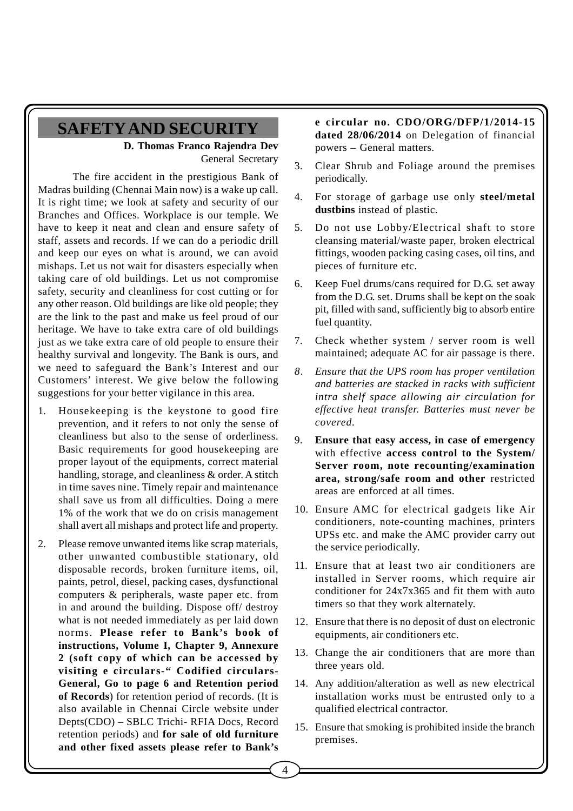# **SAFETY AND SECURITY**

#### **D. Thomas Franco Rajendra Dev** General Secretary

The fire accident in the prestigious Bank of Madras building (Chennai Main now) is a wake up call. It is right time; we look at safety and security of our Branches and Offices. Workplace is our temple. We have to keep it neat and clean and ensure safety of staff, assets and records. If we can do a periodic drill and keep our eyes on what is around, we can avoid mishaps. Let us not wait for disasters especially when taking care of old buildings. Let us not compromise safety, security and cleanliness for cost cutting or for any other reason. Old buildings are like old people; they are the link to the past and make us feel proud of our heritage. We have to take extra care of old buildings just as we take extra care of old people to ensure their healthy survival and longevity. The Bank is ours, and we need to safeguard the Bank's Interest and our Customers' interest. We give below the following suggestions for your better vigilance in this area.

- 1. Housekeeping is the keystone to good fire prevention, and it refers to not only the sense of cleanliness but also to the sense of orderliness. Basic requirements for good housekeeping are proper layout of the equipments, correct material handling, storage, and cleanliness & order. A stitch in time saves nine. Timely repair and maintenance shall save us from all difficulties. Doing a mere 1% of the work that we do on crisis management shall avert all mishaps and protect life and property.
- 2. Please remove unwanted items like scrap materials, other unwanted combustible stationary, old disposable records, broken furniture items, oil, paints, petrol, diesel, packing cases, dysfunctional computers & peripherals, waste paper etc. from in and around the building. Dispose off/ destroy what is not needed immediately as per laid down norms. **Please refer to Bank's book of instructions, Volume I, Chapter 9, Annexure 2 (soft copy of which can be accessed by visiting e circulars-" Codified circulars-General, Go to page 6 and Retention period of Records**) for retention period of records. (It is also available in Chennai Circle website under Depts(CDO) – SBLC Trichi- RFIA Docs, Record retention periods) and **for sale of old furniture and other fixed assets please refer to Bank's**

**e circular no. CDO/ORG/DFP/1/2014-15 dated 28/06/2014** on Delegation of financial powers – General matters.

- 3. Clear Shrub and Foliage around the premises periodically.
- 4. For storage of garbage use only **steel/metal dustbins** instead of plastic.
- 5. Do not use Lobby/Electrical shaft to store cleansing material/waste paper, broken electrical fittings, wooden packing casing cases, oil tins, and pieces of furniture etc.
- 6. Keep Fuel drums/cans required for D.G. set away from the D.G. set. Drums shall be kept on the soak pit, filled with sand, sufficiently big to absorb entire fuel quantity.
- 7. Check whether system / server room is well maintained; adequate AC for air passage is there.
- *8. Ensure that the UPS room has proper ventilation and batteries are stacked in racks with sufficient intra shelf space allowing air circulation for effective heat transfer. Batteries must never be covered.*
- 9. **Ensure that easy access, in case of emergency** with effective **access control to the System/ Server room, note recounting/examination area, strong/safe room and other** restricted areas are enforced at all times.
- 10. Ensure AMC for electrical gadgets like Air conditioners, note-counting machines, printers UPSs etc. and make the AMC provider carry out the service periodically.
- 11. Ensure that at least two air conditioners are installed in Server rooms, which require air conditioner for 24x7x365 and fit them with auto timers so that they work alternately.
- 12. Ensure that there is no deposit of dust on electronic equipments, air conditioners etc.
- 13. Change the air conditioners that are more than three years old.
- 14. Any addition/alteration as well as new electrical installation works must be entrusted only to a qualified electrical contractor.
- 15. Ensure that smoking is prohibited inside the branch premises.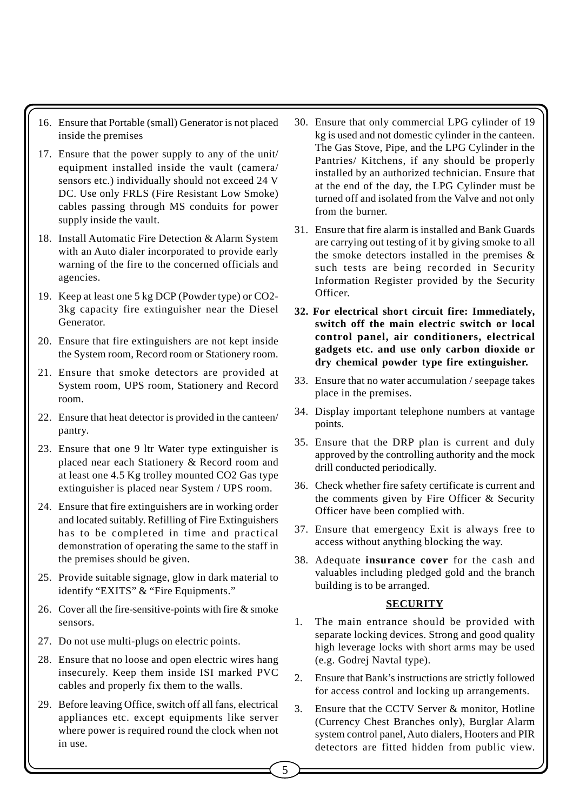- 16. Ensure that Portable (small) Generator is not placed inside the premises
- 17. Ensure that the power supply to any of the unit/ equipment installed inside the vault (camera/ sensors etc.) individually should not exceed 24 V DC. Use only FRLS (Fire Resistant Low Smoke) cables passing through MS conduits for power supply inside the vault.
- 18. Install Automatic Fire Detection & Alarm System with an Auto dialer incorporated to provide early warning of the fire to the concerned officials and agencies.
- 19. Keep at least one 5 kg DCP (Powder type) or CO2- 3kg capacity fire extinguisher near the Diesel Generator.
- 20. Ensure that fire extinguishers are not kept inside the System room, Record room or Stationery room.
- 21. Ensure that smoke detectors are provided at System room, UPS room, Stationery and Record room.
- 22. Ensure that heat detector is provided in the canteen/ pantry.
- 23. Ensure that one 9 ltr Water type extinguisher is placed near each Stationery & Record room and at least one 4.5 Kg trolley mounted CO2 Gas type extinguisher is placed near System / UPS room.
- 24. Ensure that fire extinguishers are in working order and located suitably. Refilling of Fire Extinguishers has to be completed in time and practical demonstration of operating the same to the staff in the premises should be given.
- 25. Provide suitable signage, glow in dark material to identify "EXITS" & "Fire Equipments."
- 26. Cover all the fire-sensitive-points with fire & smoke sensors.
- 27. Do not use multi-plugs on electric points.
- 28. Ensure that no loose and open electric wires hang insecurely. Keep them inside ISI marked PVC cables and properly fix them to the walls.
- 29. Before leaving Office, switch off all fans, electrical appliances etc. except equipments like server where power is required round the clock when not in use.
- 30. Ensure that only commercial LPG cylinder of 19 kg is used and not domestic cylinder in the canteen. The Gas Stove, Pipe, and the LPG Cylinder in the Pantries/ Kitchens, if any should be properly installed by an authorized technician. Ensure that at the end of the day, the LPG Cylinder must be turned off and isolated from the Valve and not only from the burner.
- 31. Ensure that fire alarm is installed and Bank Guards are carrying out testing of it by giving smoke to all the smoke detectors installed in the premises  $\&$ such tests are being recorded in Security Information Register provided by the Security Officer.
- **32. For electrical short circuit fire: Immediately, switch off the main electric switch or local control panel, air conditioners, electrical gadgets etc. and use only carbon dioxide or dry chemical powder type fire extinguisher.**
- 33. Ensure that no water accumulation / seepage takes place in the premises.
- 34. Display important telephone numbers at vantage points.
- 35. Ensure that the DRP plan is current and duly approved by the controlling authority and the mock drill conducted periodically.
- 36. Check whether fire safety certificate is current and the comments given by Fire Officer & Security Officer have been complied with.
- 37. Ensure that emergency Exit is always free to access without anything blocking the way.
- 38. Adequate **insurance cover** for the cash and valuables including pledged gold and the branch building is to be arranged.

### **SECURITY**

- 1. The main entrance should be provided with separate locking devices. Strong and good quality high leverage locks with short arms may be used (e.g. Godrej Navtal type).
- 2. Ensure that Bank's instructions are strictly followed for access control and locking up arrangements.
- 3. Ensure that the CCTV Server & monitor, Hotline (Currency Chest Branches only), Burglar Alarm system control panel, Auto dialers, Hooters and PIR detectors are fitted hidden from public view.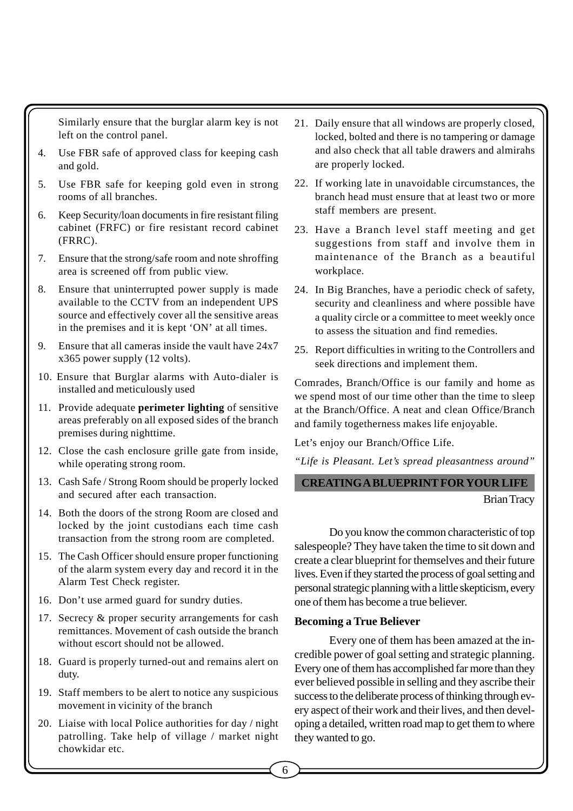Similarly ensure that the burglar alarm key is not left on the control panel.

- 4. Use FBR safe of approved class for keeping cash and gold.
- 5. Use FBR safe for keeping gold even in strong rooms of all branches.
- 6. Keep Security/loan documents in fire resistant filing cabinet (FRFC) or fire resistant record cabinet (FRRC).
- 7. Ensure that the strong/safe room and note shroffing area is screened off from public view.
- 8. Ensure that uninterrupted power supply is made available to the CCTV from an independent UPS source and effectively cover all the sensitive areas in the premises and it is kept 'ON' at all times.
- 9. Ensure that all cameras inside the vault have 24x7 x365 power supply (12 volts).
- 10. Ensure that Burglar alarms with Auto-dialer is installed and meticulously used
- 11. Provide adequate **perimeter lighting** of sensitive areas preferably on all exposed sides of the branch premises during nighttime.
- 12. Close the cash enclosure grille gate from inside, while operating strong room.
- 13. Cash Safe / Strong Room should be properly locked and secured after each transaction.
- 14. Both the doors of the strong Room are closed and locked by the joint custodians each time cash transaction from the strong room are completed.
- 15. The Cash Officer should ensure proper functioning of the alarm system every day and record it in the Alarm Test Check register.
- 16. Don't use armed guard for sundry duties.
- 17. Secrecy & proper security arrangements for cash remittances. Movement of cash outside the branch without escort should not be allowed.
- 18. Guard is properly turned-out and remains alert on duty.
- 19. Staff members to be alert to notice any suspicious movement in vicinity of the branch
- 20. Liaise with local Police authorities for day / night patrolling. Take help of village / market night chowkidar etc.
- 21. Daily ensure that all windows are properly closed, locked, bolted and there is no tampering or damage and also check that all table drawers and almirahs are properly locked.
- 22. If working late in unavoidable circumstances, the branch head must ensure that at least two or more staff members are present.
- 23. Have a Branch level staff meeting and get suggestions from staff and involve them in maintenance of the Branch as a beautiful workplace.
- 24. In Big Branches, have a periodic check of safety, security and cleanliness and where possible have a quality circle or a committee to meet weekly once to assess the situation and find remedies.
- 25. Report difficulties in writing to the Controllers and seek directions and implement them.

Comrades, Branch/Office is our family and home as we spend most of our time other than the time to sleep at the Branch/Office. A neat and clean Office/Branch and family togetherness makes life enjoyable.

Let's enjoy our Branch/Office Life.

*"Life is Pleasant. Let's spread pleasantness around"*

## **CREATING A BLUEPRINT FOR YOUR LIFE**

Brian Tracy

Do you know the common characteristic of top salespeople? They have taken the time to sit down and create a clear blueprint for themselves and their future lives. Even if they started the process of goal setting and personal strategic planning with a little skepticism, every one of them has become a true believer.

#### **Becoming a True Believer**

Every one of them has been amazed at the incredible power of goal setting and strategic planning. Every one of them has accomplished far more than they ever believed possible in selling and they ascribe their success to the deliberate process of thinking through every aspect of their work and their lives, and then developing a detailed, written road map to get them to where they wanted to go.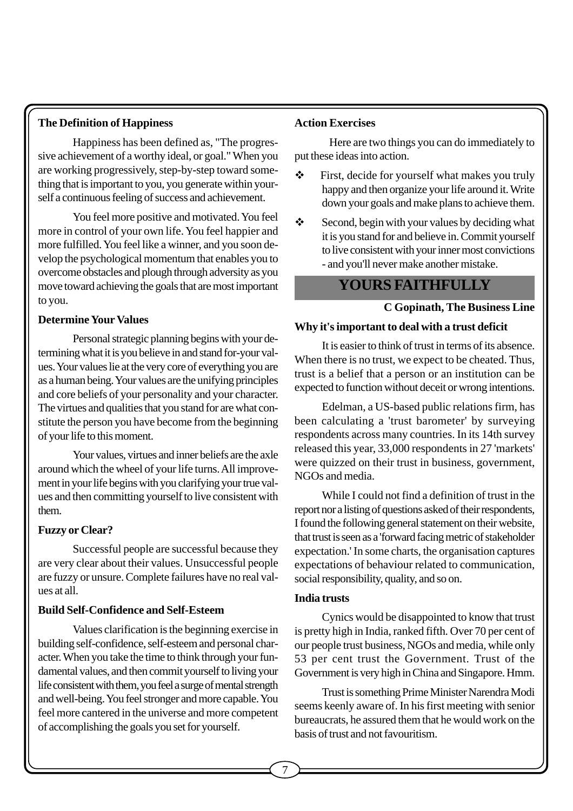# **The Definition of Happiness**

Happiness has been defined as, "The progressive achievement of a worthy ideal, or goal." When you are working progressively, step-by-step toward something that is important to you, you generate within yourself a continuous feeling of success and achievement.

You feel more positive and motivated. You feel more in control of your own life. You feel happier and more fulfilled. You feel like a winner, and you soon develop the psychological momentum that enables you to overcome obstacles and plough through adversity as you move toward achieving the goals that are most important to you.

## **Determine Your Values**

Personal strategic planning begins with your determining what it is you believe in and stand for-your values. Your values lie at the very core of everything you are as a human being. Your values are the unifying principles and core beliefs of your personality and your character. The virtues and qualities that you stand for are what constitute the person you have become from the beginning of your life to this moment.

Your values, virtues and inner beliefs are the axle around which the wheel of your life turns. All improvement in your life begins with you clarifying your true values and then committing yourself to live consistent with them.

# **Fuzzy or Clear?**

Successful people are successful because they are very clear about their values. Unsuccessful people are fuzzy or unsure. Complete failures have no real values at all.

### **Build Self-Confidence and Self-Esteem**

Values clarification is the beginning exercise in building self-confidence, self-esteem and personal character. When you take the time to think through your fundamental values, and then commit yourself to living your life consistent with them, you feel a surge of mental strength and well-being. You feel stronger and more capable. You feel more cantered in the universe and more competent of accomplishing the goals you set for yourself.

# **Action Exercises**

Here are two things you can do immediately to put these ideas into action.

- First, decide for yourself what makes you truly happy and then organize your life around it. Write down your goals and make plans to achieve them.
- $\div$  Second, begin with your values by deciding what it is you stand for and believe in. Commit yourself to live consistent with your inner most convictions - and you'll never make another mistake.

# **YOURS FAITHFULLY**

# **C Gopinath, The Business Line**

## **Why it's important to deal with a trust deficit**

It is easier to think of trust in terms of its absence. When there is no trust, we expect to be cheated. Thus, trust is a belief that a person or an institution can be expected to function without deceit or wrong intentions.

Edelman, a US-based public relations firm, has been calculating a 'trust barometer' by surveying respondents across many countries. In its 14th survey released this year, 33,000 respondents in 27 'markets' were quizzed on their trust in business, government, NGOs and media.

While I could not find a definition of trust in the report nor a listing of questions asked of their respondents, I found the following general statement on their website, that trust is seen as a 'forward facing metric of stakeholder expectation.' In some charts, the organisation captures expectations of behaviour related to communication, social responsibility, quality, and so on.

### **India trusts**

Cynics would be disappointed to know that trust is pretty high in India, ranked fifth. Over 70 per cent of our people trust business, NGOs and media, while only 53 per cent trust the Government. Trust of the Government is very high in China and Singapore. Hmm.

Trust is something Prime Minister Narendra Modi seems keenly aware of. In his first meeting with senior bureaucrats, he assured them that he would work on the basis of trust and not favouritism.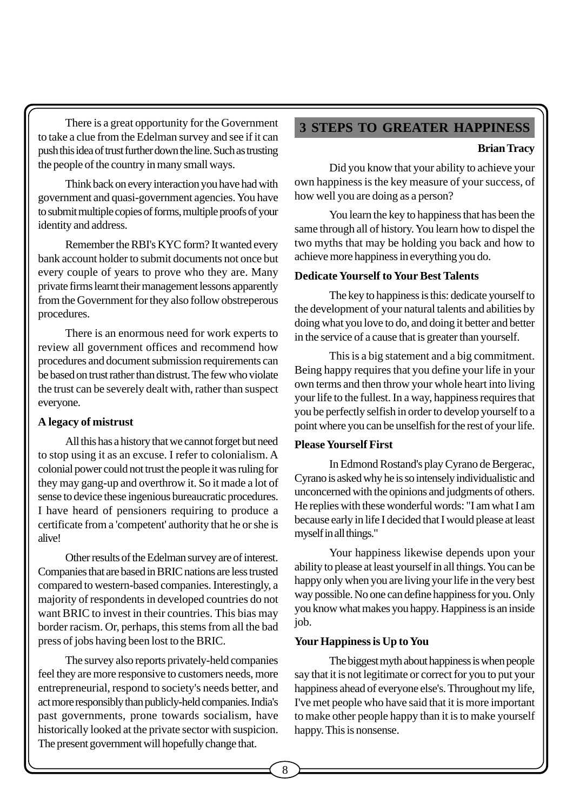There is a great opportunity for the Government to take a clue from the Edelman survey and see if it can push this idea of trust further down the line. Such as trusting the people of the country in many small ways.

Think back on every interaction you have had with government and quasi-government agencies. You have to submit multiple copies of forms, multiple proofs of your identity and address.

Remember the RBI's KYC form? It wanted every bank account holder to submit documents not once but every couple of years to prove who they are. Many private firms learnt their management lessons apparently from the Government for they also follow obstreperous procedures.

There is an enormous need for work experts to review all government offices and recommend how procedures and document submission requirements can be based on trust rather than distrust. The few who violate the trust can be severely dealt with, rather than suspect everyone.

### **A legacy of mistrust**

All this has a history that we cannot forget but need to stop using it as an excuse. I refer to colonialism. A colonial power could not trust the people it was ruling for they may gang-up and overthrow it. So it made a lot of sense to device these ingenious bureaucratic procedures. I have heard of pensioners requiring to produce a certificate from a 'competent' authority that he or she is alive!

Other results of the Edelman survey are of interest. Companies that are based in BRIC nations are less trusted compared to western-based companies. Interestingly, a majority of respondents in developed countries do not want BRIC to invest in their countries. This bias may border racism. Or, perhaps, this stems from all the bad press of jobs having been lost to the BRIC.

The survey also reports privately-held companies feel they are more responsive to customers needs, more entrepreneurial, respond to society's needs better, and act more responsibly than publicly-held companies. India's past governments, prone towards socialism, have historically looked at the private sector with suspicion. The present government will hopefully change that.

# **3 STEPS TO GREATER HAPPINESS**

#### **Brian Tracy**

Did you know that your ability to achieve your own happiness is the key measure of your success, of how well you are doing as a person?

You learn the key to happiness that has been the same through all of history. You learn how to dispel the two myths that may be holding you back and how to achieve more happiness in everything you do.

# **Dedicate Yourself to Your Best Talents**

The key to happiness is this: dedicate yourself to the development of your natural talents and abilities by doing what you love to do, and doing it better and better in the service of a cause that is greater than yourself.

This is a big statement and a big commitment. Being happy requires that you define your life in your own terms and then throw your whole heart into living your life to the fullest. In a way, happiness requires that you be perfectly selfish in order to develop yourself to a point where you can be unselfish for the rest of your life.

### **Please Yourself First**

In Edmond Rostand's play Cyrano de Bergerac, Cyrano is asked why he is so intensely individualistic and unconcerned with the opinions and judgments of others. He replies with these wonderful words: "I am what I am because early in life I decided that I would please at least myself in all things."

Your happiness likewise depends upon your ability to please at least yourself in all things. You can be happy only when you are living your life in the very best way possible. No one can define happiness for you. Only you know what makes you happy. Happiness is an inside job.

### **Your Happiness is Up to You**

The biggest myth about happiness is when people say that it is not legitimate or correct for you to put your happiness ahead of everyone else's. Throughout my life, I've met people who have said that it is more important to make other people happy than it is to make yourself happy. This is nonsense.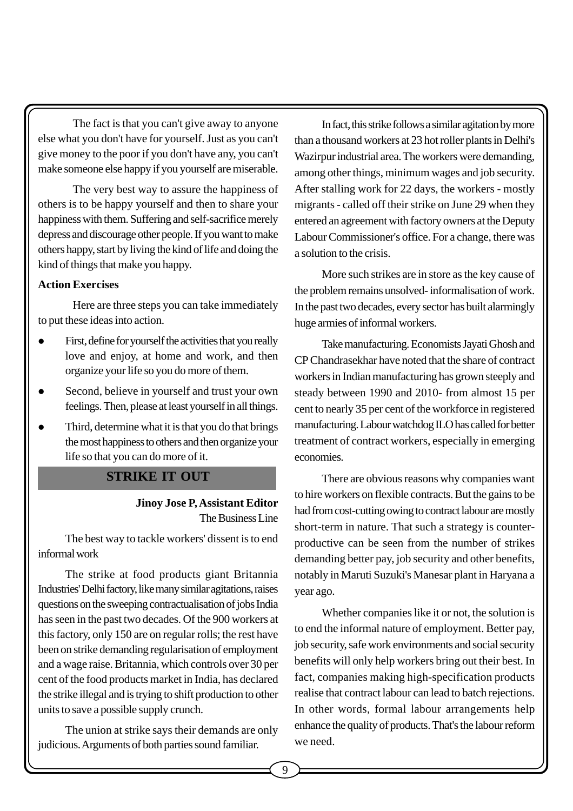The fact is that you can't give away to anyone else what you don't have for yourself. Just as you can't give money to the poor if you don't have any, you can't make someone else happy if you yourself are miserable.

The very best way to assure the happiness of others is to be happy yourself and then to share your happiness with them. Suffering and self-sacrifice merely depress and discourage other people. If you want to make others happy, start by living the kind of life and doing the kind of things that make you happy.

# **Action Exercises**

Here are three steps you can take immediately to put these ideas into action.

- First, define for yourself the activities that you really love and enjoy, at home and work, and then organize your life so you do more of them.
- Second, believe in yourself and trust your own feelings. Then, please at least yourself in all things.
- Third, determine what it is that you do that brings the most happiness to others and then organize your life so that you can do more of it.

# **STRIKE IT OUT**

**Jinoy Jose P, Assistant Editor** The Business Line

The best way to tackle workers' dissent is to end informal work

The strike at food products giant Britannia Industries' Delhi factory, like many similar agitations, raises questions on the sweeping contractualisation of jobs India has seen in the past two decades. Of the 900 workers at this factory, only 150 are on regular rolls; the rest have been on strike demanding regularisation of employment and a wage raise. Britannia, which controls over 30 per cent of the food products market in India, has declared the strike illegal and is trying to shift production to other units to save a possible supply crunch.

The union at strike says their demands are only judicious. Arguments of both parties sound familiar.

In fact, this strike follows a similar agitation by more than a thousand workers at 23 hot roller plants in Delhi's Wazirpur industrial area. The workers were demanding, among other things, minimum wages and job security. After stalling work for 22 days, the workers - mostly migrants - called off their strike on June 29 when they entered an agreement with factory owners at the Deputy Labour Commissioner's office. For a change, there was a solution to the crisis.

More such strikes are in store as the key cause of the problem remains unsolved- informalisation of work. In the past two decades, every sector has built alarmingly huge armies of informal workers.

Take manufacturing. Economists Jayati Ghosh and CP Chandrasekhar have noted that the share of contract workers in Indian manufacturing has grown steeply and steady between 1990 and 2010- from almost 15 per cent to nearly 35 per cent of the workforce in registered manufacturing. Labour watchdog ILO has called for better treatment of contract workers, especially in emerging economies.

There are obvious reasons why companies want to hire workers on flexible contracts. But the gains to be had from cost-cutting owing to contract labour are mostly short-term in nature. That such a strategy is counterproductive can be seen from the number of strikes demanding better pay, job security and other benefits, notably in Maruti Suzuki's Manesar plant in Haryana a year ago.

Whether companies like it or not, the solution is to end the informal nature of employment. Better pay, job security, safe work environments and social security benefits will only help workers bring out their best. In fact, companies making high-specification products realise that contract labour can lead to batch rejections. In other words, formal labour arrangements help enhance the quality of products. That's the labour reform we need.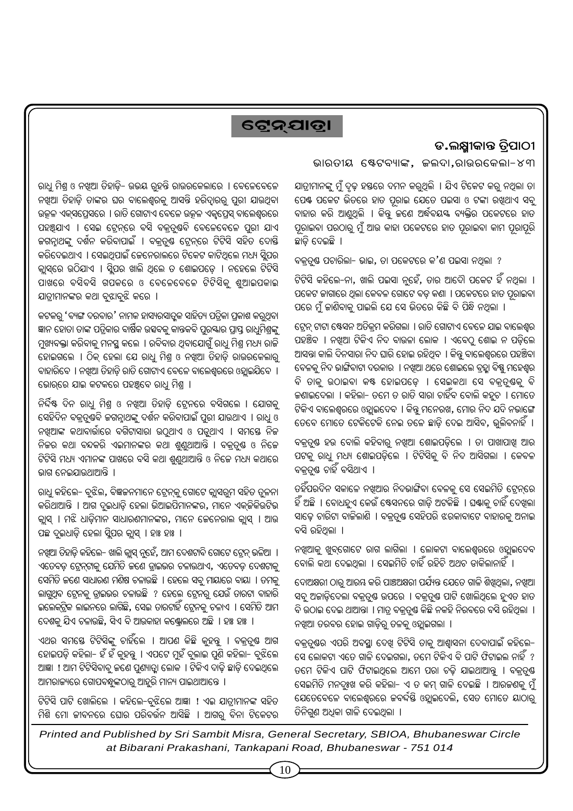# **ùUâ^þ~ûZâû**

# $\mathcal{C}.$ ଲକ୍ଷ୍ମୀକାନ୍ତ ତ୍ରିପାଠୀ

ରାଧୁ ମିଶ୍ର ଓ ନଖୁଆ ତିହାଡ଼ି– ଉଭୟ ରୂହନ୍ତି ରାଉରକେଲାରେ । ବେଳେବେଳେ ନଖିଆ ତିହାଡି ତାଙ୍କର ଘର ବାଲେଶ୍ୱରକ୍ ଆସନ୍ତି ହରିଦ୍ୱାରର୍ ପରୀ ଯାଉଥବା ଉତ୍କଳ ଏକ୍ସପ୍ରେସରେ । ରାତି ଗୋଟାଏ ବେଳେ ଉତ୍କଳ ଏକ୍ସପ୍ରେସ୍ ବାଲେଶ୍ୱରରେ ପହଞ୍ଚଯାଏ । ସେଇ ଟେନରେ ବସି ବକ୍ତଶ୍ତବି ବେଳେବେଳେ ପରୀ ଯାଏ ଜଗନାଥଙ୍କ ଦର୍ଶନ କରିବାପାଇଁ । ବକ୍ତୃଷ ଟେନରେ ଟିଟିସି ସହିତ ଦୋସ୍ତି କରିଦେଇଥାଏ । ସେଇଥପାଇଁ ଜେନେରାଲରେ ଟିକେଟ କାଟିଥଲେ ମଧ୍ୟ ସ୍ୱିପର କ୍ଲାସ୍ରେ ଉଠିଯାଏ । ସୁିପର ଖାଲି ଥିଲେ ତ ଶୋଇପଡ଼େ । ନହେଲେ ଟିଟିସି ପାଖରେ ବସିବସି ଗପକରେ ଓ ବେଳେବେଳେ ଟିଟିସିକ ଶଆଇପକାଇ ଯାତ୍ରୀମାନଙ୍କର କଥା ବୁଝାବୃଝି କରେ ।

କଟକର 'ବ୍ୟଙ୍ଗ ଦରବାର' ନାମକ ହାସ୍ୟରସାତ୍ରକ ସାହିତ୍ୟ ପତିକା ପକାଶ କରଥବା ଜ୍ଞାନ ହୋତା ତାଙ୍କ ପତିକାର ବାର୍ଷିକ ଉତ୍ସବକ କାନ୍ତକବି ପରୟାର ପାପ୍ତ ରାଧମିଶଙ୍କ ମଖ୍ୟବକ୍ତା କରିବାକ୍ ମନସ୍ତ୍ର କଲେ । ରବିବାର ଥବାଯୋଗଁ ରାଧ ମିଶ୍ୱ ମଧ୍ୟ ରାଜି ହୋଇଗଲେ । ଠିକ୍ ହେଲା ଯେ ରାଧ ମିଶ୍ୱ ଓ ନଖୁଆ ତିହାଡି ରାଉରକେଲାର ବାହାରିବେ l ନଖଆ ତିହାଡି ରାତି ଗୋଟାଏ ବେଳେ ବାଲେଶରରେ ଓହାଇଯିବେ l ଭୋର୍ରେ ଯାଇ କଟକରେ ପହଞ୍ଚବେ ରାଧ ମିଶ ।

ନିର୍ଦ୍ଦିଷ୍ଟ ଦିନ ରାଧୁ ମିଶ୍ର ଓ ନଖୁଆ ତିହାଡ଼ି ଟ୍ରେନରେ ବସିଗଲେ । ଯୋଗକ<del>ୁ</del> ସେହିଦିନ ବକ୍ତଶ୍ତବି ଜଗନାଥଙ୍କ ଦର୍ଶନ କରିବାପାଇଁ ପରୀ ଯାଉଥାଏ । ରାଧ ଓ ନଖିଆଙ୍କ କଥାବାର୍ଭାରେ ବଗିଟାସାରା ଉଠୁଥାଏ ଓ ପଡୁଥାଏ । ସମସ୍ତେ ନିଜ ନିଜର କଥା ବନ୍ଦକରି ଏଇମାନଙ୍କର କଥା ଶୁଣ୍ଡଥାଆନ୍ତି । ବକ୍ରତୃଷ ଓ ନିଜେ ଟିଟିସି ମଧ୍ୟ ଏମାନଙ୍କ ପାଖରେ ବସି କଥା ଶଣଥାଆନ୍ତି ଓ ନିଜେ ମଧ୍ୟ କଥାରେ ଭାଗ ନେଇଯାଉଥାଆନ୍ତି ।

ରାଧ କହିଲେ– ବଝିଲ, ବିଜ୍ଞଜନମାନେ ଟେନକ ଗୋଟେ କାସରମ ସହିତ ତଳନା କରିଥାଆନ୍ତି । ଆଗ ଦଇଧାଡି ହେଲା ଭିଆଇପିମାନଙ୍କର, ମାନେ ଏକ୍ଜିକିଉଟିଭ କ୍ଲାସ୍ । ମଝି ଧାଡ଼ିମାନ ସାଧାରଣମାନଙ୍କର, ମାନେ ଜେନେରାଲ କ୍ଲାସ୍ । ଆଉ ପଛ ଦଇଧାଡି ହେଲା ସିପର କାସ । ହାଃ ହାଃ ।

ନଖିଆ ତିହାଡ଼ି କହିଲେ– ଖାଲି କ୍ଲାସ୍ ନୁହେଁ, ଆମ ଦେଶଟାବି ଗୋଟେ ତ୍ରେନ୍ ଭଳିଆ । ଏଡେବଡ ଟେନଟାକ ଯେମିତି ଜଣେ ଡାଇଭର ଚଳାଉଥାଏ, ଏଡେବଡ ଦେଶଟାକ୍ ସେମିତି ଜଣେ ସାଧାରଣ ମଣିଷ ଚଳାଉଛି । ହେଲେ ସବୁ ମାୟାରେ ବାୟା । ତମକୁ ଲାଗୁଥିବ ଟ୍ରେନକୁ ଡ୍ରାଇଭର ଚଳାଉଛି ? ହେଲେ ଟ୍ରେନରୁ ଯେଉଁ ତାରଟା ବାହାରି ଇଲେକ୍ଟିକ ଲାଇନରେ ଲାଗିଛି, ସେଇ ତାରଟାହିଁ ଟେନକ୍ ଚଳାଏ । ସେମିତି ଆମ ଦେଶକ ଯିଏ ଚଳାଉଛି, ସିଏ ବି ଆଉକାହା କର୍ଷ୍ଟାଲରେ ଅଛି । ହାଃ ହାଃ ।

ଏଥର ସମସ୍ତେ ଟିଟିସିଙ୍କ୍ ଚାହିଁଲେ । ଆପଣ କିଛି କ୍ହନ୍ତ୍ର । ବକ୍ତୃଷ ଆଗ ହୋଇପଡ଼ି କହିଲା– ହଁ ହଁ କୁହନ୍ତୁ । ଏପଟେ ମୁହଁ ବୁଲାଇ ପୁଣି କହିଲା– ବୁଝିଲେ ଆଜ୍ଞା ! ଆମ ଟିଟିସିବାବୁ ଜଣେ ପୁଣ୍ୟାତ୍ୱା ଲୋକ । ଟିକିଏ ଦାଢ଼ି ଛାଡ଼ି ଦେଇଥିଲେ ଆମରାଜ୍ୟରେ ଗୋପବନ୍ଧୁଙ୍କଠାରୁ ଆହୁରି ମାନ୍ୟ ପାଇଥାଆନ୍ତେ ।

ଚିଟିସି ପାଟି ଖୋଲିଲେ । କହିଲେ-ବୃଝିଲେ ଆଜ୍ଞା ! ଏଇ ଯାତୀମାନଙ୍କ ସହିତ ିମିଶି ମୋ ଜୀବନରେ ଘୋର ପରିବର୍ତ୍ତନ ଆସିଛି । ଆଗର୍ ବିନା ଟିକେଟର ଭାରତୀୟ ଷ୍ଟେବ୍ୟାଙ୍କ, ଜଲଦା,ରାଉରକେଲା-୪୩

ଯାତ୍ରୀମାନଙ୍କୁ ମୁଁ ଦୂଢ଼ ହସ୍ତରେ ଦମନ କରୁଥିଲି । ଯିଏ ଟିକେଟ କରୁ ନଥିଲା ତା ପେଷ୍ଟ ପକେଟ ଭିତରେ ହାତ ପୂରାଇ ଯେତେ ପଇସା ଓ ଟଙ୍କା ରଖିଥାଏ ସବୁ କାହାର କରି ଆଣୁଥିଲି । କିନ୍ତୁ ଜଣେ ଅର୍ଦ୍ଧବୟଙ୍କ ବ୍ୟକ୍ତିର ପକେଟରେ ହାତ ପ୍ରାଇବା ପରଠାର୍ ମଁ ଆଉ କାହା ପକେଟରେ ହାତ ପରାଇବା କାମ ପରାପରି ଛାଡି ଦେଇଛି ।

ବକ୍ରତ୍ରଷ ପଚାରିଲା- ଭାଇ, ତା ପକେଟରେ କ'ଣ ପଇସା ନଥିଲା ?

ଟିଟିସି କହିଲେ-ନା, ଖାଲି ପଇସା ନହେଁ, ତାର ଆଦ୍ରୌ ପକେଟ ହିଁ ନଥଲା । ପକେଟ ଜାଗାରେ ଥଲା କେବଳ ଗୋଟେ ବଡ କଣା । ପକେଟରେ ହାତ ପରାଇବା ପରେ ମୁଁ ଜାଣିବାକ୍ ପାଇଲି ଯେ ସେ ଭିତରେ କିଛି ବି ପିନ୍ଧି ନଥିଲା ।

ତେନ ଟାଟା ଷ୍ଟେସନ ଅତିକମ କରିଗଲା । ରାତି ଗୋଟାଏ ବେଳେ ଯାଇ ବାଲେଶ୍ୱର ପହଞ୍ଚିବ । ନଖଆ ଟିକିଏ ନିଦ ବାଉଳା ଲୋକ । ଏବେଠ ଶୋଇ ନ ପଡିଲେ ଆସନ୍ତା କାଲି ଦିନସାରା ନିଦ ଘାରି ହୋଇ ରହିଥବ । କିନ୍ତୁ ବାଲେଶ୍ୱରରେ ପହଞ୍ଚିବା ଦେଳକ ନିଦ ଭାଙ୍ଗିବାଟା ଦରକାର । ନଖିଆ ଥରେ ଶୋଇଲେ ବ୍ରହ୍ମା ବିଷ୍ଣୁ ମହେଶ୍ୱର ବି ତାକୁ ଉଠାଇବା କଷ୍ଟ ହୋଇପଡ଼େ । ସେଇକଥା ସେ ବକ୍ତୃକ୍ତକୁ ବି ଜଣାଇଦେଲା । କହିଲା- ତମେ ତ ରାତି ସାରା ଚାହିଁବ ବୋଲି କହଚ । ମୋତେ ଟିକିଏ ବାଲେଶ୍ୱରରେ ଓହାୁଇଦେବ । କିନ୍ତୁ ମନେରଖ, ମୋର ନିଦ ଯଦି ନଭାଙ୍ଗେ ିତେବେ ମୋଡେ ଟେକିଟେକି ନେଇ ଡଳେ ଛାଡି ଦେଇ ଆସିବ. ଭଲିବନାହିଁ ।

ବକ୍ରତ୍ରଷ ହଉ ବୋଲି କହିବାରୁ ନଖୁଆ ଶୋଇପଡ଼ିଲେ । ତା ପାଖାପାଖୁ ଆର ପଟକ ରାଧି ମଧ୍ୟ ଶୋଇପଡ଼ିଲେ । ଟିଟିସିକ୍ ବି ନିଦ ଆସିଗଲା । କେବଳ ବକତଣ୍ଡ ଚାହିଁ ବସିଥାଏ ।

 $\tilde{\Omega}$ ହସିଁପରଦିନ ସକାଳେ ନଖଆର ନିଦଭାଙ୍ଗିବା ବେଳକ ସେ ସେଇମିତି ଟେନରେ ହିଁ ଅଛି । ବୋଧହଏ କେଉଁ ଷ୍ଟେସନରେ ଗାଡି ଅଟକିଛି । ଘ୍ୟାକ୍ ଚାହିଁ ଦେଖଲା ସାଢେ ଚାରିଟା ବାଜିଲାଣି । ବକ୍ତୃଣ ସେହିପରି ଝରକାବାଟେ ବାହାରକୁ ଅନାଇ ବସି ରହିଥଲା ।

ନଖିଆକୁ ଖୁବ୍ଗୋଟେ ରାଗ ଲାଗିଲା । ଲୋକଟା ବାଲେଶ୍ୱରରେ ଓହ୍ଲାଇଦେବ ିବୋଲି କଥା ଦେଇଥିଲା । ସେଇମିତି ଚାହିଁ ରହିଚି ଅଥଚ ଡାକିଲାନାହିଁ ।

ିଦୋଅକ୍ଷରୀ ଠାରୁ ଆରୟ କରି ପାଞ୍ଚଅକ୍ଷରୀ ପର୍ଯ୍ୟନ୍ତ ଯେତେ ଗାଳି ଶିଖୁଥିଲା, ନଖୁଆ ସବ ଅଜାଡିଦେଲା ବକତଣ୍ଡ ଉପରେ । ବକତଣ୍ଡ ପାଟି ଖୋଲିଥଲେ ହଏତ ହାତ ବି ଉଠାଇ ଦେଇ ଥାଆନ୍ତା । ମାତ୍ର ବକ୍ରତ୍ରକ୍ତ କିଛି ନକହି ନିରବରେ ବସି ରହିଥିଲା । ନଖିଆ ତରବର ହୋଇ ଗାଡ଼ିରୁ ତଳକୁ ଓହ୍ଲାଇଗଲା **।** 

କକ୍ତଶ୍ତର ଏପରି ଅବସ୍ଥା ଦେଖ ଟିଟିସି ତାକ୍ ଆଶ୍ୱାସନା ଦେବାପାଇଁ କହିଲେ– ିସେ ଲୋକଟା ଏତେ ଗାଳି ଦେଇଗଲା, ତମେ ଟିକିଏ ବି ପାଟି ଫିଟାଇଲ ନାହିଁ ? ତମେ ଟିକିଏ ପାଟି ଫିଟାଇଥଲେ ଆମେ ପରା ଚଢି ଯାଇଥାଆନ୍ତ । ବକତଣ୍ଡ ସେଇମିତି ମନଦୃଃଖ କରି କହିଲା- ଏ ତ କମ୍ ଗାଳି ଦେଇଛି । ଆରକଣକୁ ମୁଁ ିଯେତେବେଳେ ବାଲେଶ୍ୱରରେ ଜବର୍ଦ୍ଦୟି ଓହ୍ଲାଇଦେଲି, ସେତ ମୋତେ ୟାଠାରୁ ତିନିଗ୍ରଣ ଅଧିକା ଗାଳି ଦେଇଥିଲା ।

*Printed and Published by Sri Sambit Misra, General Secretary, SBIOA, Bhubaneswar Circle at Bibarani Prakashani, Tankapani Road, Bhubaneswar - 751 014*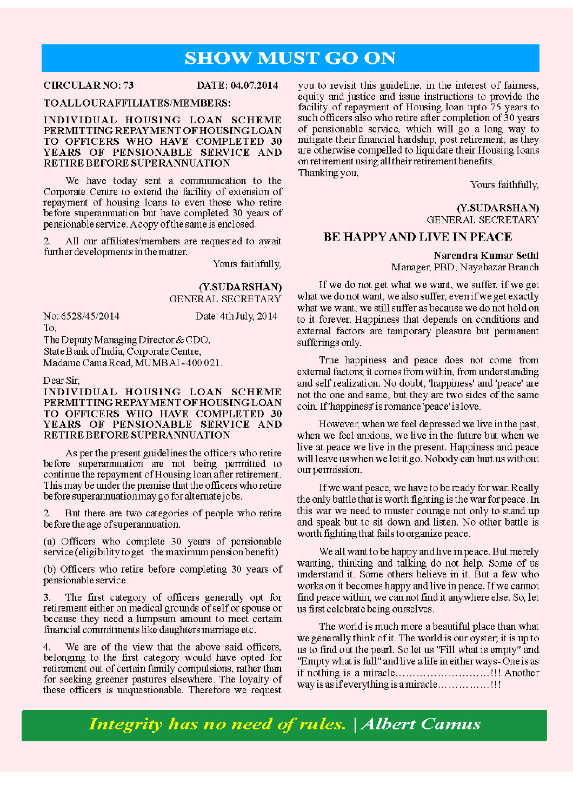# **SHOW MUST GO ON**

#### **CIRCULARNO: 73**

DATE: 04.07.2014

#### TOALLOURAFFILIATES/MEMBERS:

INDIVIDUAL HOUSING LOAN SCHEME PERMITTING REPAYMENT OF HOUSING LOAN TO OFFICERS WHO HAVE COMPLETED 30 YEARS OF PENSIONABLE SERVICE AND **RETIRE BEFORE SUPERANNUATION** 

We have today sent a communication to the Corporate Centre to extend the facility of extension of repayment of housing loans to even those who retire before superanmuation but have completed 30 years of pensionable service. A copy of the same is enclosed.

All our affiliates/members are requested to await  $\mathcal{D}$ further developments in the matter.

Yours faithfully,

(Y.SUDARSHAN) **GENERAL SECRETARY** 

No: 6528/45/2014 Date: 4th July, 2014 To. The Deputy Managing Director & CDO, State Bank of India, Corporate Centre, Madame Cama Road, MUMB AI-400021.

#### Dear Sir,

INDIVIDUAL HOUSING LOAN SCHEME PERMITTING REPAYMENT OF HOUSING LOAN TO OFFICERS WHO HAVE COMPLETED 30 YEARS OF PENSIONABLE SERVICE AND **RETIRE BEFORE SUPERANNUATION** 

As per the present guidelines the officers who retire before superannuation are not being permitted to continue the repayment of Housing loan after retirement. This may be under the premise that the officers who retire before superannuation may go for alternate jobs.

But there are two categories of people who retire  $\overline{2}$ . before the age of superanmuation.

(a) Officers who complete 30 years of pensionable service (eligibility to get the maximum pension benefit)

(b) Officers who retire before completing 30 years of pensionable service.

The first category of officers generally opt for retirement either on medical grounds of self or spouse or because they need a lumpsum amount to meet certain financial commitments like daughters marriage etc.

 $\overline{4}$ . We are of the view that the above said officers, belonging to the first category would have opted for retirement out of certain family compulsions, rather than for seeking greener pastures elsewhere. The loyalty of these officers is unquestionable. Therefore we request

you to revisit this guideline, in the interest of fairness, equity and justice and issue instructions to provide the facility of repayment of Housing loan upto 75 years to such officers also who retire after completion of 30 years of pensionable service, which will go a long way to mitigate their financial hardship, post retirement, as they are otherwise compelled to liquidate their Housing loans on retirement using all their retirement benefits. Thanking you,

Yours faithfully,

#### (Y.SUDARSHAN) **GENERAL SECRETARY**

### **BE HAPPY AND LIVE IN PEACE**

#### Narendra Kumar Sethi Manager, PBD, Nayabazar Branch

If we do not get what we want, we suffer, if we get what we do not want, we also suffer, even if we get exactly what we want, we still suffer as because we do not hold on to it forever. Happiness that depends on conditions and external factors are temporary pleasure but permanent sufferings only.

True happiness and peace does not come from external factors; it comes from within, from understanding and self realization. No doubt, 'happiness' and 'peace' are not the one and same, but they are two sides of the same coin. If 'happiness' is romance 'peace' is love.

However, when we feel depressed we live in the past, when we feel anxious, we live in the future but when we live at peace we live in the present. Happiness and peace will leave us when we let it go. Nobody can hurt us without our permission.

If we want peace, we have to be ready for war. Really the only battle that is worth fighting is the war for peace. In this war we need to muster courage not only to stand up and speak but to sit down and listen. No other battle is worth fighting that fails to organize peace.

We all want to be happy and live in peace. But merely wanting, thinking and talking do not help. Some of us understand it. Some others believe in it. But a few who works on it becomes happy and live in peace. If we cannot find peace within, we can not find it anywhere else. So, let us first celebrate being ourselves.

The world is much more a beautiful place than what we generally think of it. The world is our oyster; it is up to us to find out the pearl. So let us "Fill what is empty" and "Empty what is full" and live a life in either ways-One is as if nothing is a miracle..........................!!! Another way is as if everything is a miracle..............!!!

**Integrity has no need of rules. | Albert Camus**